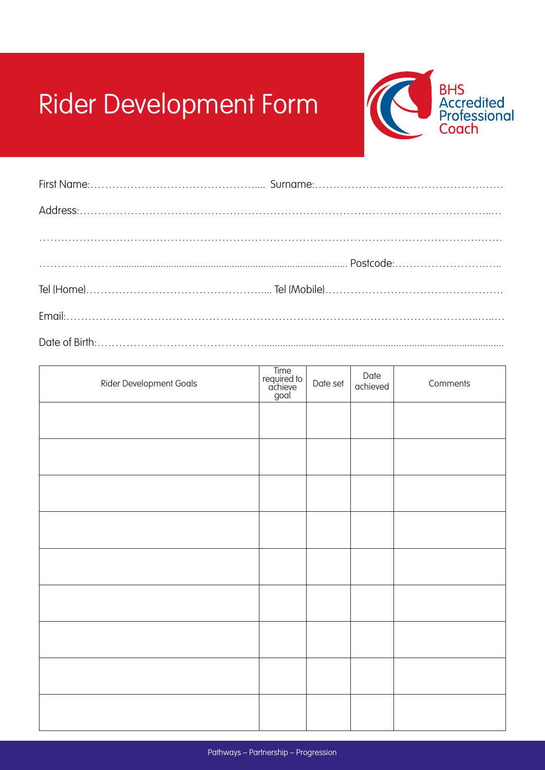## Rider Development Form



| Rider Development Goals | Time<br>required to<br>achieve<br>goal | Date set | Date<br>achieved | Comments |
|-------------------------|----------------------------------------|----------|------------------|----------|
|                         |                                        |          |                  |          |
|                         |                                        |          |                  |          |
|                         |                                        |          |                  |          |
|                         |                                        |          |                  |          |
|                         |                                        |          |                  |          |
|                         |                                        |          |                  |          |
|                         |                                        |          |                  |          |
|                         |                                        |          |                  |          |
|                         |                                        |          |                  |          |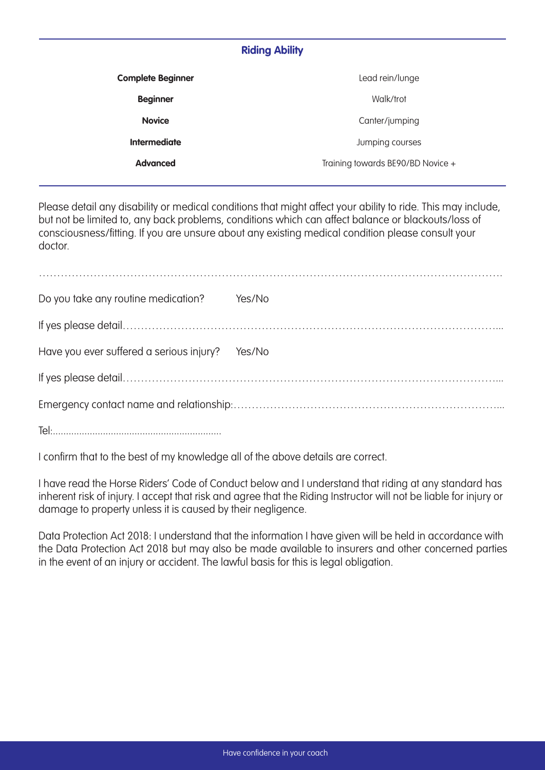## **Riding Ability**

| <b>Complete Beginner</b> | Lead rein/lunge                   |  |  |  |  |
|--------------------------|-----------------------------------|--|--|--|--|
| <b>Beginner</b>          | Walk/trot                         |  |  |  |  |
| <b>Novice</b>            | Canter/jumping                    |  |  |  |  |
| <b>Intermediate</b>      | Jumping courses                   |  |  |  |  |
| <b>Advanced</b>          | Training towards BE90/BD Novice + |  |  |  |  |
|                          |                                   |  |  |  |  |

Please detail any disability or medical conditions that might affect your ability to ride. This may include, but not be limited to, any back problems, conditions which can affect balance or blackouts/loss of consciousness/fitting. If you are unsure about any existing medical condition please consult your doctor.

| Do you take any routine medication?             | Yes/No |  |  |  |  |  |  |
|-------------------------------------------------|--------|--|--|--|--|--|--|
|                                                 |        |  |  |  |  |  |  |
| Have you ever suffered a serious injury? Yes/No |        |  |  |  |  |  |  |
|                                                 |        |  |  |  |  |  |  |
|                                                 |        |  |  |  |  |  |  |
|                                                 |        |  |  |  |  |  |  |

I confirm that to the best of my knowledge all of the above details are correct.

I have read the Horse Riders' Code of Conduct below and I understand that riding at any standard has inherent risk of injury. I accept that risk and agree that the Riding Instructor will not be liable for injury or damage to property unless it is caused by their negligence.

Data Protection Act 2018: I understand that the information I have given will be held in accordance with the Data Protection Act 2018 but may also be made available to insurers and other concerned parties in the event of an injury or accident. The lawful basis for this is legal obligation.